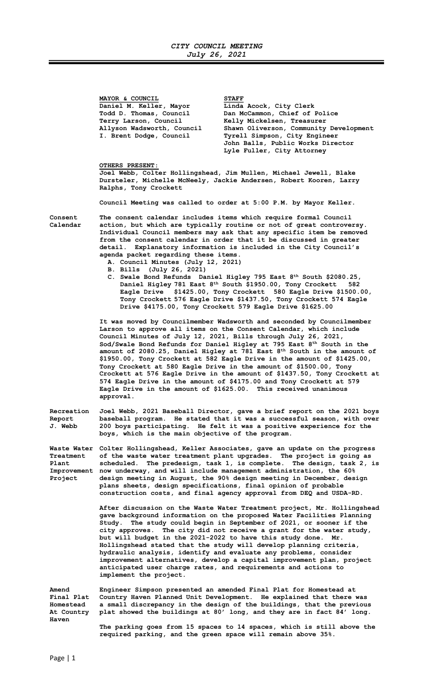MAYOR & COUNCIL<br>Daniel M. Keller, Mayor Linda Daniel M. Keller, Mayor Linda Acock, City Clerk<br>Todd D. Thomas, Council Dan McCammon, Chief of

Todd D. Thomas, Council Dan McCammon, Chief of Police<br>Terry Larson, Council Belly Mickelsen, Treasurer Terry Larson, Council Melly Mickelsen, Treasurer<br>Allyson Wadsworth, Council Shawn Oliverson, Community Shawn Oliverson, Community Development I. Brent Dodge, Council Tyrell Simpson, City Engineer John Balls, Public Works Director Lyle Fuller, City Attorney

OTHERS PRESENT:

Joel Webb, Colter Hollingshead, Jim Mullen, Michael Jewell, Blake Dursteler, Michelle McNeely, Jackie Andersen, Robert Kooren, Larry Ralphs, Tony Crockett

Council Meeting was called to order at 5:00 P.M. by Mayor Keller.

Consent The consent calendar includes items which require formal Council Calendar action, but which are typically routine or not of great controversy. Individual Council members may ask that any specific item be removed from the consent calendar in order that it be discussed in greater detail. Explanatory information is included in the City Council's agenda packet regarding these items.

- A. Council Minutes (July 12, 2021)
- B. Bills (July 26, 2021)
- C. Swale Bond Refunds Daniel Higley 795 East 8<sup>th</sup> South \$2080.25, Daniel Higley 781 East 8<sup>th</sup> South \$1950.00, Tony Crockett 582 Eagle Drive \$1425.00, Tony Crockett 580 Eagle Drive \$1500.00, Tony Crockett 576 Eagle Drive \$1437.50, Tony Crockett 574 Eagle Drive \$4175.00, Tony Crockett 579 Eagle Drive \$1625.00

 It was moved by Councilmember Wadsworth and seconded by Councilmember Larson to approve all items on the Consent Calendar, which include Council Minutes of July 12, 2021, Bills through July 26, 2021, Sod/Swale Bond Refunds for Daniel Higley at 795 East  $8<sup>th</sup>$  South in the amount of 2080.25, Daniel Higley at 781 East 8th South in the amount of \$1950.00, Tony Crockett at 582 Eagle Drive in the amount of \$1425.00, Tony Crockett at 580 Eagle Drive in the amount of \$1500.00, Tony Crockett at 576 Eagle Drive in the amount of \$1437.50, Tony Crockett at 574 Eagle Drive in the amount of \$4175.00 and Tony Crockett at 579 Eagle Drive in the amount of \$1625.00. This received unanimous approval.

Recreation Joel Webb, 2021 Baseball Director, gave a brief report on the 2021 boys Report baseball program. He stated that it was a successful season, with over J. Webb 200 boys participating. He felt it was a positive experience for the boys, which is the main objective of the program.

Waste Water Colter Hollingshead, Keller Associates, gave an update on the progress Treatment of the waste water treatment plant upgrades. The project is going as Plant scheduled. The predesign, task 1, is complete. The design, task 2, is Improvement now underway, and will include management administration, the 60% Project design meeting in August, the 90% design meeting in December, design plans sheets, design specifications, final opinion of probable construction costs, and final agency approval from DEQ and USDA-RD.

> After discussion on the Waste Water Treatment project, Mr. Hollingshead gave background information on the proposed Water Facilities Planning Study. The study could begin in September of 2021, or sooner if the city approves. The city did not receive a grant for the water study, but will budget in the 2021-2022 to have this study done. Mr. Hollingshead stated that the study will develop planning criteria, hydraulic analysis, identify and evaluate any problems, consider improvement alternatives, develop a capital improvement plan, project anticipated user charge rates, and requirements and actions to implement the project.

Amend Engineer Simpson presented an amended Final Plat for Homestead at Country Haven Planned Unit Development. He explained that there was Homestead a small discrepancy in the design of the buildings, that the previous At Country plat showed the buildings at 80' long, and they are in fact 84' long. Haven

 The parking goes from 15 spaces to 14 spaces, which is still above the required parking, and the green space will remain above 35%.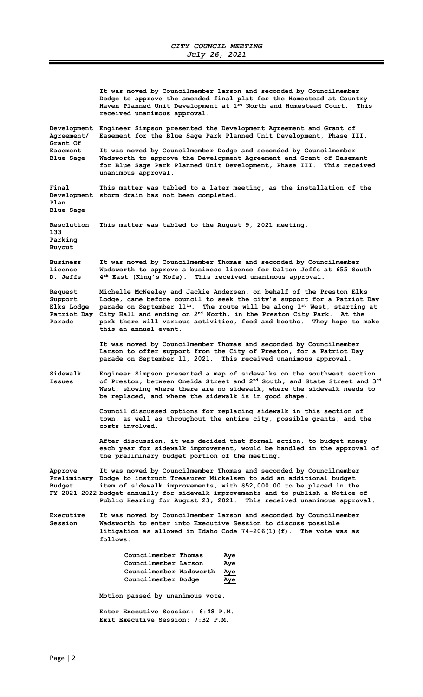It was moved by Councilmember Larson and seconded by Councilmember Dodge to approve the amended final plat for the Homestead at Country Haven Planned Unit Development at 1<sup>st</sup> North and Homestead Court. This received unanimous approval. Development Engineer Simpson presented the Development Agreement and Grant of Agreement/ Easement for the Blue Sage Park Planned Unit Development, Phase III. Grant Of Easement It was moved by Councilmember Dodge and seconded by Councilmember Blue Sage Wadsworth to approve the Development Agreement and Grant of Easement for Blue Sage Park Planned Unit Development, Phase III. This received unanimous approval. Final This matter was tabled to a later meeting, as the installation of the Development storm drain has not been completed. Plan Blue Sage Resolution This matter was tabled to the August 9, 2021 meeting. 133 Parking Buyout Business It was moved by Councilmember Thomas and seconded by Councilmember License Wadsworth to approve a business license for Dalton Jeffs at 655 South D. Jeffs  $4^{\text{th}}$  East (King's Kofe). This received unanimous approval.  $4<sup>th</sup>$  East (King's Kofe). This received unanimous approval. Request Michelle McNeeley and Jackie Andersen, on behalf of the Preston Elks Support Lodge, came before council to seek the city's support for a Patriot Day<br>Elks Lodge parade on September  $11^{th}$ . The route will be along  $1^{st}$  West, starting at Elks Lodge parade on September  $11^{\text{th}}$ . The route will be along  $1^{\text{st}}$  West, starting at Patriot Day City Hall and ending on  $2^{\text{nd}}$  North, in the Preston City Park. At the Patrice On September 11 . The Trust norm of the Preston City Park. At the Parade park there will various activities, food and booths. They hope to make this an annual event. It was moved by Councilmember Thomas and seconded by Councilmember Larson to offer support from the City of Preston, for a Patriot Day parade on September 11, 2021. This received unanimous approval. Sidewalk Engineer Simpson presented a map of sidewalks on the southwest section<br>Issues of Preston, between Oneida Street and  $2<sup>nd</sup>$  South, and State Street and 3 of Preston, between Oneida Street and 2<sup>nd</sup> South, and State Street and 3<sup>rd</sup> West, showing where there are no sidewalk, where the sidewalk needs to be replaced, and where the sidewalk is in good shape. Council discussed options for replacing sidewalk in this section of town, as well as throughout the entire city, possible grants, and the costs involved. After discussion, it was decided that formal action, to budget money each year for sidewalk improvement, would be handled in the approval of the preliminary budget portion of the meeting. Approve It was moved by Councilmember Thomas and seconded by Councilmember Preliminary Dodge to instruct Treasurer Mickelsen to add an additional budget item of sidewalk improvements, with \$52,000.00 to be placed in the FY 2021-2022 budget annually for sidewalk improvements and to publish a Notice of Public Hearing for August 23, 2021. This received unanimous approval. Executive It was moved by Councilmember Larson and seconded by Councilmember Session Wadsworth to enter into Executive Session to discuss possible litigation as allowed in Idaho Code 74-206(1)(f). The vote was as follows: Councilmember Thomas Aye Councilmember Larson Aye Councilmember Wadsworth Aye Councilmember Dodge Aye Motion passed by unanimous vote. Enter Executive Session: 6:48 P.M. Exit Executive Session: 7:32 P.M.